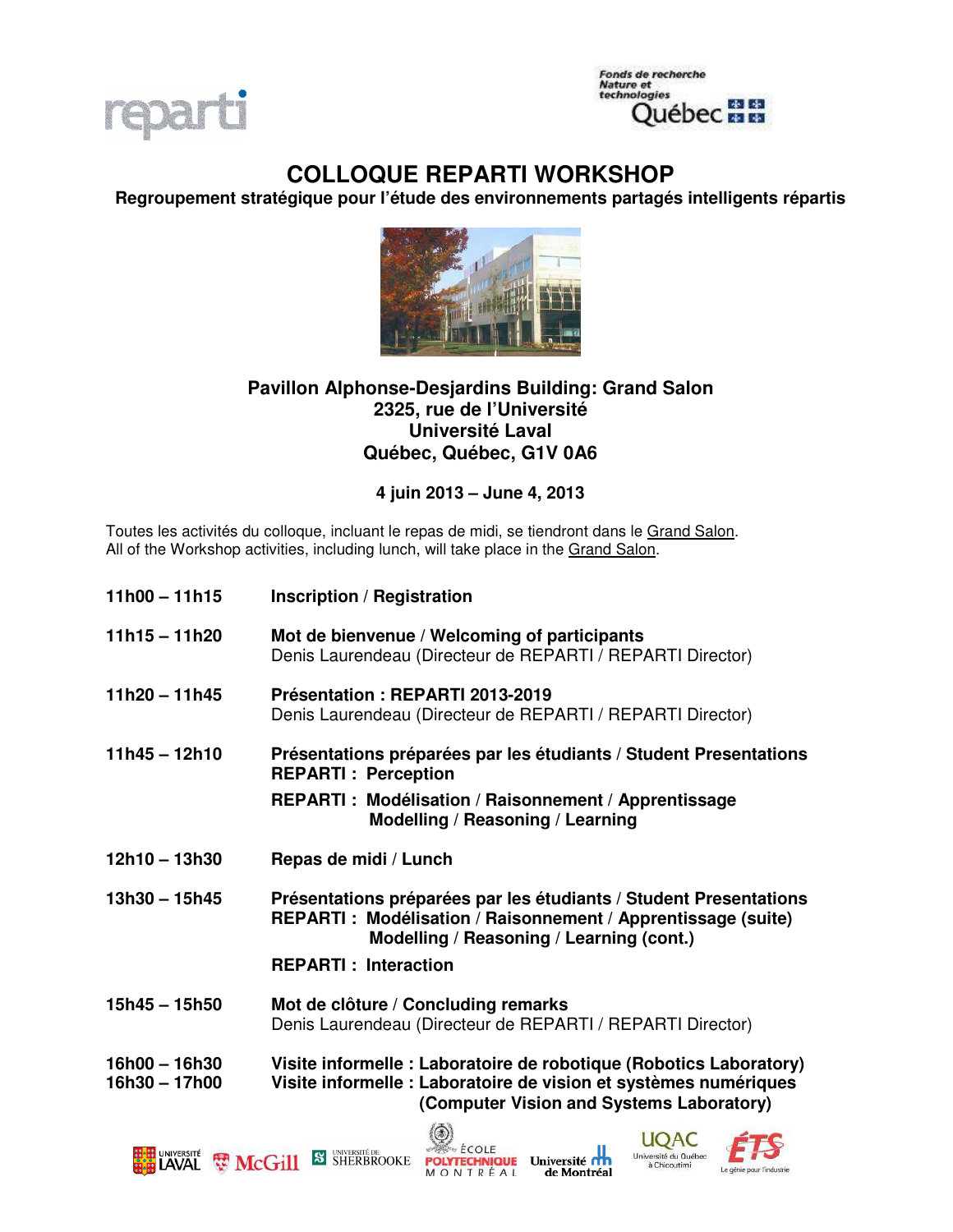



# **COLLOQUE REPARTI WORKSHOP**

**Regroupement stratégique pour l'étude des environnements partagés intelligents répartis** 



# **Pavillon Alphonse-Desjardins Building: Grand Salon 2325, rue de l'Université Université Laval Québec, Québec, G1V 0A6**

## **4 juin 2013 – June 4, 2013**

Toutes les activités du colloque, incluant le repas de midi, se tiendront dans le Grand Salon. All of the Workshop activities, including lunch, will take place in the Grand Salon.

| $11h00 - 11h15$                    | <b>Inscription / Registration</b>                                                                                                                                                  |
|------------------------------------|------------------------------------------------------------------------------------------------------------------------------------------------------------------------------------|
| $11h15 - 11h20$                    | Mot de bienvenue / Welcoming of participants<br>Denis Laurendeau (Directeur de REPARTI / REPARTI Director)                                                                         |
| $11h20 - 11h45$                    | Présentation: REPARTI 2013-2019<br>Denis Laurendeau (Directeur de REPARTI / REPARTI Director)                                                                                      |
| $11h45 - 12h10$                    | Présentations préparées par les étudiants / Student Presentations<br><b>REPARTI: Perception</b>                                                                                    |
|                                    | <b>REPARTI: Modélisation / Raisonnement / Apprentissage</b><br>Modelling / Reasoning / Learning                                                                                    |
| $12h10 - 13h30$                    | Repas de midi / Lunch                                                                                                                                                              |
| $13h30 - 15h45$                    | Présentations préparées par les étudiants / Student Presentations<br>REPARTI: Modélisation / Raisonnement / Apprentissage (suite)<br>Modelling / Reasoning / Learning (cont.)      |
|                                    | <b>REPARTI: Interaction</b>                                                                                                                                                        |
| $15h45 - 15h50$                    | Mot de clôture / Concluding remarks<br>Denis Laurendeau (Directeur de REPARTI / REPARTI Director)                                                                                  |
| $16h00 - 16h30$<br>$16h30 - 17h00$ | Visite informelle : Laboratoire de robotique (Robotics Laboratory)<br>Visite informelle : Laboratoire de vision et systèmes numériques<br>(Computer Vision and Systems Laboratory) |







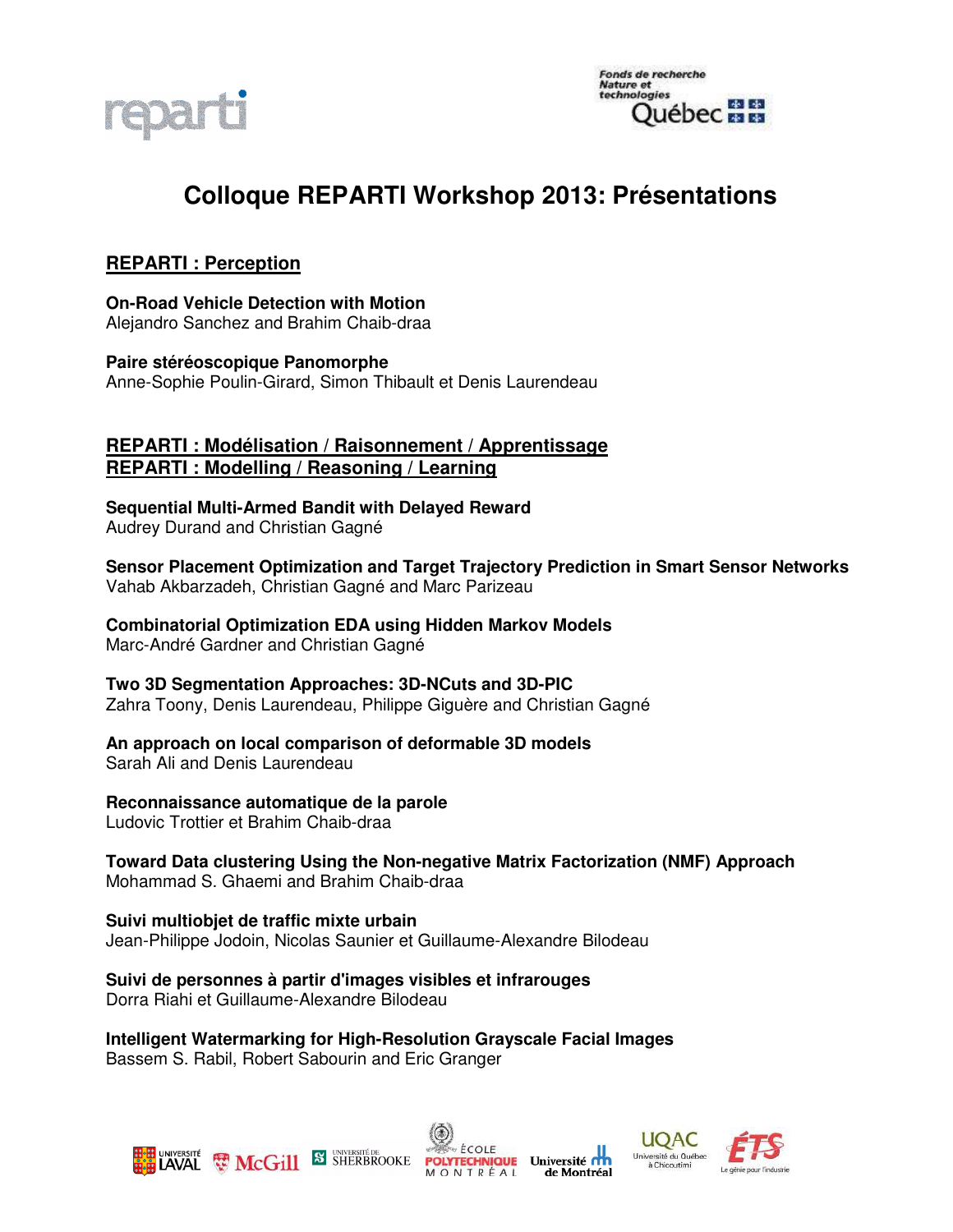

# **Colloque REPARTI Workshop 2013: Présentations**

# **REPARTI : Perception**

**On-Road Vehicle Detection with Motion**  Alejandro Sanchez and Brahim Chaib-draa

**Paire stéréoscopique Panomorphe**  Anne-Sophie Poulin-Girard, Simon Thibault et Denis Laurendeau

#### **REPARTI : Modélisation / Raisonnement / Apprentissage REPARTI : Modelling / Reasoning / Learning**

**Sequential Multi-Armed Bandit with Delayed Reward**  Audrey Durand and Christian Gagné

**Sensor Placement Optimization and Target Trajectory Prediction in Smart Sensor Networks**  Vahab Akbarzadeh, Christian Gagné and Marc Parizeau

**Combinatorial Optimization EDA using Hidden Markov Models**  Marc-André Gardner and Christian Gagné

**Two 3D Segmentation Approaches: 3D-NCuts and 3D-PIC** Zahra Toony, Denis Laurendeau, Philippe Giguère and Christian Gagné

#### **An approach on local comparison of deformable 3D models**

Sarah Ali and Denis Laurendeau

#### **Reconnaissance automatique de la parole**

Ludovic Trottier et Brahim Chaib-draa

**Toward Data clustering Using the Non-negative Matrix Factorization (NMF) Approach**  Mohammad S. Ghaemi and Brahim Chaib-draa

**Suivi multiobjet de traffic mixte urbain**  Jean-Philippe Jodoin, Nicolas Saunier et Guillaume-Alexandre Bilodeau

**Suivi de personnes à partir d'images visibles et infrarouges**  Dorra Riahi et Guillaume-Alexandre Bilodeau

**Intelligent Watermarking for High-Resolution Grayscale Facial Images**  Bassem S. Rabil, Robert Sabourin and Eric Granger